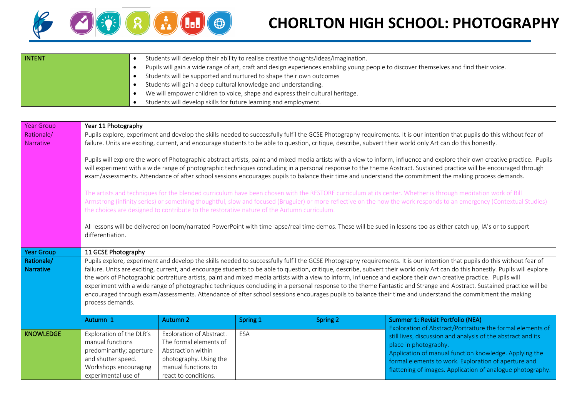

## **CHORLTON HIGH SCHOOL: PHOTOGRAPHY**

| <b>INTENT</b> | Students will develop their ability to realise creative thoughts/ideas/imagination.                                                   |  |  |  |  |  |  |
|---------------|---------------------------------------------------------------------------------------------------------------------------------------|--|--|--|--|--|--|
|               | Pupils will gain a wide range of art, craft and design experiences enabling young people to discover themselves and find their voice. |  |  |  |  |  |  |
|               | Students will be supported and nurtured to shape their own outcomes                                                                   |  |  |  |  |  |  |
|               | Students will gain a deep cultural knowledge and understanding.                                                                       |  |  |  |  |  |  |
|               | We will empower children to voice, shape and express their cultural heritage.                                                         |  |  |  |  |  |  |
|               | Students will develop skills for future learning and employment.                                                                      |  |  |  |  |  |  |

| <b>Year Group</b>              | Year 11 Photography                                                                                                                                                                                                                                                                                                                                                                                                                                                                                                                                                                                                                                                                                                                                                                                                                                                                          |                                                                                                                                                   |          |                 |                                                                                                                                                                                                                                                                                                                                     |  |  |  |  |
|--------------------------------|----------------------------------------------------------------------------------------------------------------------------------------------------------------------------------------------------------------------------------------------------------------------------------------------------------------------------------------------------------------------------------------------------------------------------------------------------------------------------------------------------------------------------------------------------------------------------------------------------------------------------------------------------------------------------------------------------------------------------------------------------------------------------------------------------------------------------------------------------------------------------------------------|---------------------------------------------------------------------------------------------------------------------------------------------------|----------|-----------------|-------------------------------------------------------------------------------------------------------------------------------------------------------------------------------------------------------------------------------------------------------------------------------------------------------------------------------------|--|--|--|--|
| Rationale/<br><b>Narrative</b> | Pupils explore, experiment and develop the skills needed to successfully fulfil the GCSE Photography requirements. It is our intention that pupils do this without fear of<br>failure. Units are exciting, current, and encourage students to be able to question, critique, describe, subvert their world only Art can do this honestly.                                                                                                                                                                                                                                                                                                                                                                                                                                                                                                                                                    |                                                                                                                                                   |          |                 |                                                                                                                                                                                                                                                                                                                                     |  |  |  |  |
|                                | Pupils will explore the work of Photographic abstract artists, paint and mixed media artists with a view to inform, influence and explore their own creative practice. Pupils<br>will experiment with a wide range of photographic techniques concluding in a personal response to the theme Abstract. Sustained practice will be encouraged through<br>exam/assessments. Attendance of after school sessions encourages pupils to balance their time and understand the commitment the making process demands.                                                                                                                                                                                                                                                                                                                                                                              |                                                                                                                                                   |          |                 |                                                                                                                                                                                                                                                                                                                                     |  |  |  |  |
|                                | The artists and techniques for the blended curriculum have been chosen with the RESTORE curriculum at its center. Whether is through meditation work of Bill<br>Armstrong (infinity series) or something thoughtful, slow and focused (Bruguier) or more reflective on the how the work responds to an emergency (Contextual Studies)<br>the choices are designed to contribute to the restorative nature of the Autumn curriculum.                                                                                                                                                                                                                                                                                                                                                                                                                                                          |                                                                                                                                                   |          |                 |                                                                                                                                                                                                                                                                                                                                     |  |  |  |  |
|                                | All lessons will be delivered on loom/narrated PowerPoint with time lapse/real time demos. These will be sued in lessons too as either catch up, IA's or to support<br>differentiation.                                                                                                                                                                                                                                                                                                                                                                                                                                                                                                                                                                                                                                                                                                      |                                                                                                                                                   |          |                 |                                                                                                                                                                                                                                                                                                                                     |  |  |  |  |
| <b>Year Group</b>              | 11 GCSE Photography                                                                                                                                                                                                                                                                                                                                                                                                                                                                                                                                                                                                                                                                                                                                                                                                                                                                          |                                                                                                                                                   |          |                 |                                                                                                                                                                                                                                                                                                                                     |  |  |  |  |
| Rationale/<br><b>Narrative</b> | Pupils explore, experiment and develop the skills needed to successfully fulfil the GCSE Photography requirements. It is our intention that pupils do this without fear of<br>failure. Units are exciting, current, and encourage students to be able to question, critique, describe, subvert their world only Art can do this honestly. Pupils will explore<br>the work of Photographic portraiture artists, paint and mixed media artists with a view to inform, influence and explore their own creative practice. Pupils will<br>experiment with a wide range of photographic techniques concluding in a personal response to the theme Fantastic and Strange and Abstract. Sustained practice will be<br>encouraged through exam/assessments. Attendance of after school sessions encourages pupils to balance their time and understand the commitment the making<br>process demands. |                                                                                                                                                   |          |                 |                                                                                                                                                                                                                                                                                                                                     |  |  |  |  |
|                                | Autumn 1                                                                                                                                                                                                                                                                                                                                                                                                                                                                                                                                                                                                                                                                                                                                                                                                                                                                                     | <b>Autumn 2</b>                                                                                                                                   | Spring 1 | <b>Spring 2</b> | Summer 1: Revisit Portfolio (NEA)                                                                                                                                                                                                                                                                                                   |  |  |  |  |
| <b>KNOWLEDGE</b>               | Exploration of the DLR's<br>manual functions<br>predominantly; aperture<br>and shutter speed.<br>Workshops encouraging<br>experimental use of                                                                                                                                                                                                                                                                                                                                                                                                                                                                                                                                                                                                                                                                                                                                                | Exploration of Abstract.<br>The formal elements of<br>Abstraction within<br>photography. Using the<br>manual functions to<br>react to conditions. | ESA      |                 | Exploration of Abstract/Portraiture the formal elements of<br>still lives, discussion and analysis of the abstract and its<br>place in photography.<br>Application of manual function knowledge. Applying the<br>formal elements to work. Exploration of aperture and<br>flattening of images. Application of analogue photography. |  |  |  |  |